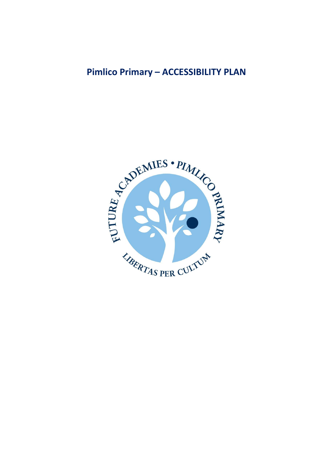# **Pimlico Primary - ACCESSIBILITY PLAN**

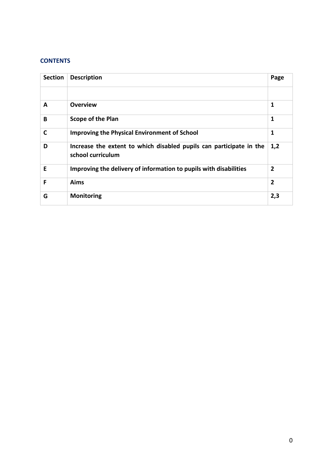## **CONTENTS**

| <b>Section</b> | <b>Description</b>                                                                       | Page           |
|----------------|------------------------------------------------------------------------------------------|----------------|
|                |                                                                                          |                |
| A              | <b>Overview</b>                                                                          | 1              |
| B              | <b>Scope of the Plan</b>                                                                 | 1              |
| C              | <b>Improving the Physical Environment of School</b>                                      | 1              |
| D              | Increase the extent to which disabled pupils can participate in the<br>school curriculum | 1,2            |
| Е              | Improving the delivery of information to pupils with disabilities                        | $\overline{2}$ |
| F              | Aims                                                                                     | $\overline{2}$ |
| G              | <b>Monitoring</b>                                                                        | 2,3            |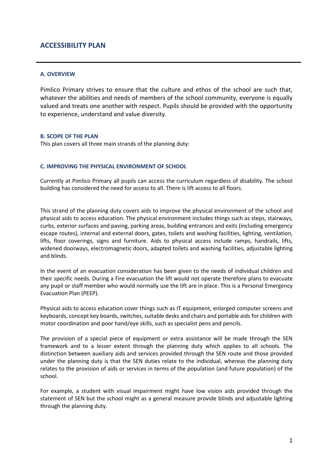## **ACCESSIBILITY PLAN**

#### **A. OVERVIEW**

Pimlico Primary strives to ensure that the culture and ethos of the school are such that, whatever the abilities and needs of members of the school community, everyone is equally valued and treats one another with respect. Pupils should be provided with the opportunity to experience, understand and value diversity.

#### **B. SCOPE OF THE PLAN**

This plan covers all three main strands of the planning duty:

#### **C. IMPROVING THE PHYSICAL ENVIRONMENT OF SCHOOL**

Currently at Pimlico Primary all pupils can access the curriculum regardless of disability. The school building has considered the need for access to all. There is lift access to all floors.

This strand of the planning duty covers aids to improve the physical environment of the school and physical aids to access education. The physical environment includes things such as steps, stairways, curbs, exterior surfaces and paving, parking areas, building entrances and exits (including emergency escape routes), internal and external doors, gates, toilets and washing facilities, lighting, ventilation, lifts, floor coverings, signs and furniture. Aids to physical access include ramps, handrails, lifts, widened doorways, electromagnetic doors, adapted toilets and washing facilities, adjustable lighting and blinds.

In the event of an evacuation consideration has been given to the needs of individual children and their specific needs. During a Fire evacuation the lift would not operate therefore plans to evacuate any pupil or staff member who would normally use the lift are in place. This is a Personal Emergency Evacuation Plan (PEEP).

Physical aids to access education cover things such as IT equipment, enlarged computer screens and keyboards, concept key boards, switches, suitable desks and chairs and portable aids for children with motor coordination and poor hand/eye skills, such as specialist pens and pencils.

The provision of a special piece of equipment or extra assistance will be made through the SEN framework and to a lesser extent through the planning duty which applies to all schools. The distinction between auxiliary aids and services provided through the SEN route and those provided under the planning duty is that the SEN duties relate to the individual, whereas the planning duty relates to the provision of aids or services in terms of the population (and future population) of the school.

For example, a student with visual impairment might have low vision aids provided through the statement of SEN but the school might as a general measure provide blinds and adjustable lighting through the planning duty.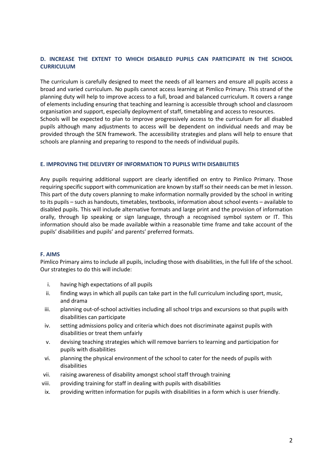### **D. INCREASE THE EXTENT TO WHICH DISABLED PUPILS CAN PARTICIPATE IN THE SCHOOL CURRICULUM**

The curriculum is carefully designed to meet the needs of all learners and ensure all pupils access a broad and varied curriculum. No pupils cannot access learning at Pimlico Primary. This strand of the planning duty will help to improve access to a full, broad and balanced curriculum. It covers a range of elements including ensuring that teaching and learning is accessible through school and classroom organisation and support, especially deployment of staff, timetabling and access to resources. Schools will be expected to plan to improve progressively access to the curriculum for all disabled pupils although many adjustments to access will be dependent on individual needs and may be provided through the SEN framework. The accessibility strategies and plans will help to ensure that

#### **E. IMPROVING THE DELIVERY OF INFORMATION TO PUPILS WITH DISABILITIES**

schools are planning and preparing to respond to the needs of individual pupils.

Any pupils requiring additional support are clearly identified on entry to Pimlico Primary. Those requiring specific support with communication are known by staff so their needs can be met in lesson. This part of the duty covers planning to make information normally provided by the school in writing to its pupils – such as handouts, timetables, textbooks, information about school events – available to disabled pupils. This will include alternative formats and large print and the provision of information orally, through lip speaking or sign language, through a recognised symbol system or IT. This information should also be made available within a reasonable time frame and take account of the pupils' disabilities and pupils' and parents' preferred formats.

#### **F. AIMS**

Pimlico Primary aims to include all pupils, including those with disabilities, in the full life of the school. Our strategies to do this will include:

- i. having high expectations of all pupils
- ii. finding ways in which all pupils can take part in the full curriculum including sport, music, and drama
- iii. planning out-of-school activities including all school trips and excursions so that pupils with disabilities can participate
- iv. setting admissions policy and criteria which does not discriminate against pupils with disabilities or treat them unfairly
- v. devising teaching strategies which will remove barriers to learning and participation for pupils with disabilities
- vi. planning the physical environment of the school to cater for the needs of pupils with disabilities
- vii. raising awareness of disability amongst school staff through training
- viii. providing training for staff in dealing with pupils with disabilities
- ix. providing written information for pupils with disabilities in a form which is user friendly.